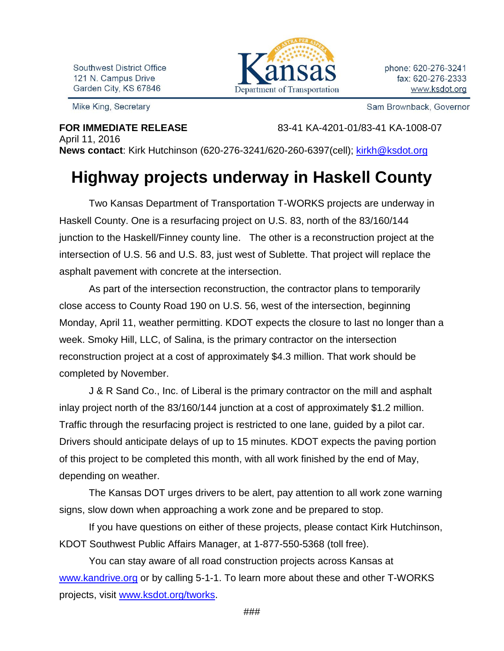Southwest District Office 121 N. Campus Drive Garden City, KS 67846



Sam Brownback, Governor

Mike King, Secretary

**FOR IMMEDIATE RELEASE** 83-41 KA-4201-01/83-41 KA-1008-07

April 11, 2016 **News contact**: Kirk Hutchinson (620-276-3241/620-260-6397(cell); [kirkh@ksdot.org](mailto:kirkh@ksdot.org)

## **Highway projects underway in Haskell County**

Two Kansas Department of Transportation T-WORKS projects are underway in Haskell County. One is a resurfacing project on U.S. 83, north of the 83/160/144 junction to the Haskell/Finney county line. The other is a reconstruction project at the intersection of U.S. 56 and U.S. 83, just west of Sublette. That project will replace the asphalt pavement with concrete at the intersection.

As part of the intersection reconstruction, the contractor plans to temporarily close access to County Road 190 on U.S. 56, west of the intersection, beginning Monday, April 11, weather permitting. KDOT expects the closure to last no longer than a week. Smoky Hill, LLC, of Salina, is the primary contractor on the intersection reconstruction project at a cost of approximately \$4.3 million. That work should be completed by November.

J & R Sand Co., Inc. of Liberal is the primary contractor on the mill and asphalt inlay project north of the 83/160/144 junction at a cost of approximately \$1.2 million. Traffic through the resurfacing project is restricted to one lane, guided by a pilot car. Drivers should anticipate delays of up to 15 minutes. KDOT expects the paving portion of this project to be completed this month, with all work finished by the end of May, depending on weather.

The Kansas DOT urges drivers to be alert, pay attention to all work zone warning signs, slow down when approaching a work zone and be prepared to stop.

If you have questions on either of these projects, please contact Kirk Hutchinson, KDOT Southwest Public Affairs Manager, at 1-877-550-5368 (toll free).

You can stay aware of all road construction projects across Kansas at [www.kandrive.org](http://www.kandrive.org/) or by calling 5-1-1. To learn more about these and other T-WORKS projects, visit [www.ksdot.org/tworks.](http://www.ksdot.org/tworks)